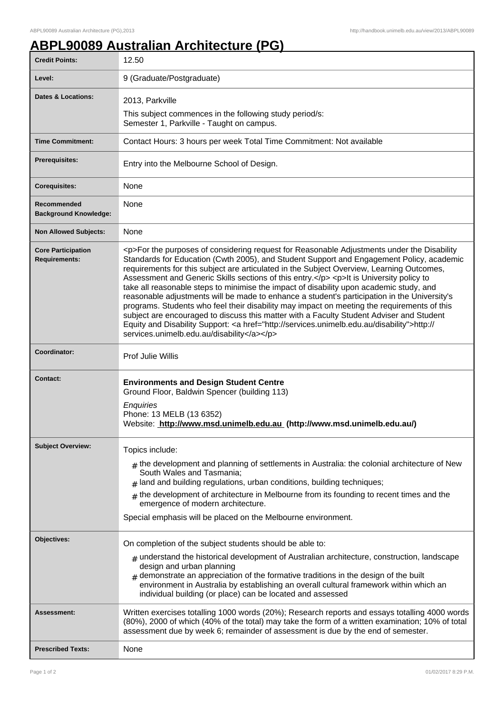## **ABPL90089 Australian Architecture (PG)**

| <b>Credit Points:</b>                             | 12.50                                                                                                                                                                                                                                                                                                                                                                                                                                                                                                                                                                                                                                                                                                                                                                                                                                                                                                                        |
|---------------------------------------------------|------------------------------------------------------------------------------------------------------------------------------------------------------------------------------------------------------------------------------------------------------------------------------------------------------------------------------------------------------------------------------------------------------------------------------------------------------------------------------------------------------------------------------------------------------------------------------------------------------------------------------------------------------------------------------------------------------------------------------------------------------------------------------------------------------------------------------------------------------------------------------------------------------------------------------|
| Level:                                            | 9 (Graduate/Postgraduate)                                                                                                                                                                                                                                                                                                                                                                                                                                                                                                                                                                                                                                                                                                                                                                                                                                                                                                    |
| <b>Dates &amp; Locations:</b>                     | 2013, Parkville<br>This subject commences in the following study period/s:<br>Semester 1, Parkville - Taught on campus.                                                                                                                                                                                                                                                                                                                                                                                                                                                                                                                                                                                                                                                                                                                                                                                                      |
| <b>Time Commitment:</b>                           | Contact Hours: 3 hours per week Total Time Commitment: Not available                                                                                                                                                                                                                                                                                                                                                                                                                                                                                                                                                                                                                                                                                                                                                                                                                                                         |
| <b>Prerequisites:</b>                             | Entry into the Melbourne School of Design.                                                                                                                                                                                                                                                                                                                                                                                                                                                                                                                                                                                                                                                                                                                                                                                                                                                                                   |
| <b>Corequisites:</b>                              | None                                                                                                                                                                                                                                                                                                                                                                                                                                                                                                                                                                                                                                                                                                                                                                                                                                                                                                                         |
| Recommended<br><b>Background Knowledge:</b>       | None                                                                                                                                                                                                                                                                                                                                                                                                                                                                                                                                                                                                                                                                                                                                                                                                                                                                                                                         |
| <b>Non Allowed Subjects:</b>                      | None                                                                                                                                                                                                                                                                                                                                                                                                                                                                                                                                                                                                                                                                                                                                                                                                                                                                                                                         |
| <b>Core Participation</b><br><b>Requirements:</b> | <p>For the purposes of considering request for Reasonable Adjustments under the Disability<br/>Standards for Education (Cwth 2005), and Student Support and Engagement Policy, academic<br/>requirements for this subject are articulated in the Subject Overview, Learning Outcomes,<br/>Assessment and Generic Skills sections of this entry.</p> <p>lt is University policy to<br/>take all reasonable steps to minimise the impact of disability upon academic study, and<br/>reasonable adjustments will be made to enhance a student's participation in the University's<br/>programs. Students who feel their disability may impact on meeting the requirements of this<br/>subject are encouraged to discuss this matter with a Faculty Student Adviser and Student<br/>Equity and Disability Support: &lt; a href="http://services.unimelb.edu.au/disability"&gt;http://<br/>services.unimelb.edu.au/disability</p> |
| Coordinator:                                      | Prof Julie Willis                                                                                                                                                                                                                                                                                                                                                                                                                                                                                                                                                                                                                                                                                                                                                                                                                                                                                                            |
| <b>Contact:</b>                                   | <b>Environments and Design Student Centre</b><br>Ground Floor, Baldwin Spencer (building 113)<br>Enquiries<br>Phone: 13 MELB (13 6352)<br>Website: http://www.msd.unimelb.edu.au (http://www.msd.unimelb.edu.au/)                                                                                                                                                                                                                                                                                                                                                                                                                                                                                                                                                                                                                                                                                                            |
| <b>Subject Overview:</b>                          | Topics include:<br>$#$ the development and planning of settlements in Australia: the colonial architecture of New<br>South Wales and Tasmania;<br>land and building regulations, urban conditions, building techniques;<br>the development of architecture in Melbourne from its founding to recent times and the<br>#<br>emergence of modern architecture.<br>Special emphasis will be placed on the Melbourne environment.                                                                                                                                                                                                                                                                                                                                                                                                                                                                                                 |
| Objectives:                                       | On completion of the subject students should be able to:<br>$_{\#}$ understand the historical development of Australian architecture, construction, landscape<br>design and urban planning<br>$#$ demonstrate an appreciation of the formative traditions in the design of the built<br>environment in Australia by establishing an overall cultural framework within which an<br>individual building (or place) can be located and assessed                                                                                                                                                                                                                                                                                                                                                                                                                                                                                 |
| Assessment:                                       | Written exercises totalling 1000 words (20%); Research reports and essays totalling 4000 words<br>(80%), 2000 of which (40% of the total) may take the form of a written examination; 10% of total<br>assessment due by week 6; remainder of assessment is due by the end of semester.                                                                                                                                                                                                                                                                                                                                                                                                                                                                                                                                                                                                                                       |
| <b>Prescribed Texts:</b>                          | None                                                                                                                                                                                                                                                                                                                                                                                                                                                                                                                                                                                                                                                                                                                                                                                                                                                                                                                         |